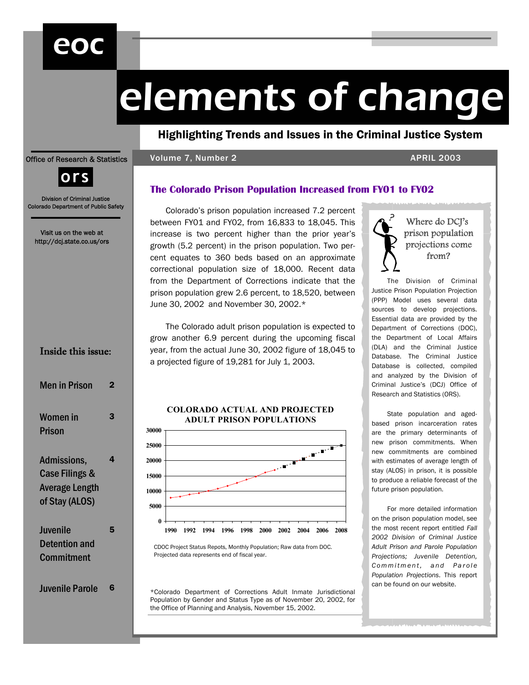## eoc

# elements of change

Highlighting Trends and Issues in the Criminal Justice System

#### Office of Research & Statistics

#### Volume 7, Number 2 APRIL 2003



Division of Criminal Justice Colorado Department of Public Safety

Visit us on the web at http://dcj.state.co.us/ors

## Inside this issue:

| Men in Prison                                                                       |   |
|-------------------------------------------------------------------------------------|---|
| Women in<br><b>Prison</b>                                                           | 3 |
| Admissions,<br><b>Case Filings &amp;</b><br><b>Average Length</b><br>of Stay (ALOS) | 4 |
| Juvenile<br><b>Detention and</b><br><b>Commitment</b>                               | 5 |
| <b>Juvenile Parole</b>                                                              |   |

**The Colorado Prison Population Increased from FY01 to FY02** 

Colorado's prison population increased 7.2 percent between FY01 and FY02, from 16,833 to 18,045. This increase is two percent higher than the prior year's growth (5.2 percent) in the prison population. Two percent equates to 360 beds based on an approximate correctional population size of 18,000. Recent data from the Department of Corrections indicate that the prison population grew 2.6 percent, to 18,520, between June 30, 2002 and November 30, 2002.\*

The Colorado adult prison population is expected to grow another 6.9 percent during the upcoming fiscal year, from the actual June 30, 2002 figure of 18,045 to a projected figure of 19,281 for July 1, 2003.

#### **COLORADO ACTUAL AND PROJECTED ADULT PRISON POPULATIONS**



CDOC Project Status Repots, Monthly Population; Raw data from DOC. Projected data represents end of fiscal year.

\*Colorado Department of Corrections Adult Inmate Jurisdictional Population by Gender and Status Type as of November 20, 2002, for the Office of Planning and Analysis, November 15, 2002.



The Division of Criminal Justice Prison Population Projection (PPP) Model uses several data sources to develop projections. Essential data are provided by the Department of Corrections (DOC), the Department of Local Affairs (DLA) and the Criminal Justice Database. The Criminal Justice Database is collected, compiled and analyzed by the Division of Criminal Justice's (DCJ) Office of Research and Statistics (ORS).

State population and agedbased prison incarceration rates are the primary determinants of new prison commitments. When new commitments are combined with estimates of average length of stay (ALOS) in prison, it is possible to produce a reliable forecast of the future prison population.

For more detailed information on the prison population model, see the most recent report entitled *Fall 2002 Division of Criminal Justice Adult Prison and Parole Population Projections; Juvenile Detention,*   $Comment, and Parole$ *Population Projections*. This report can be found on our website.

<u> La Branche (Branche Branche)</u>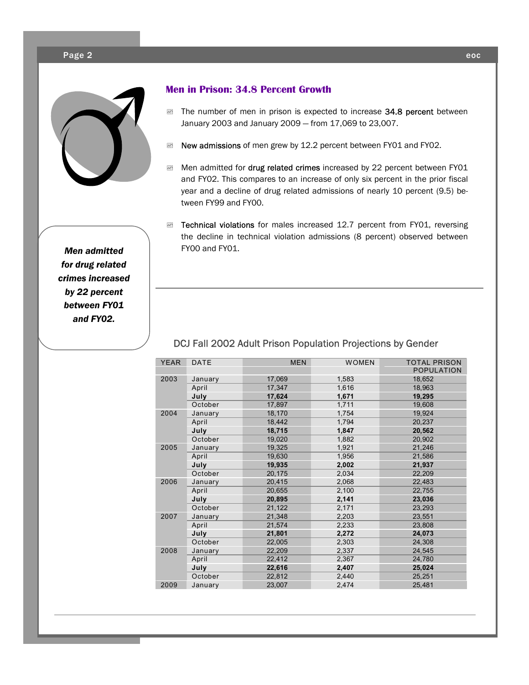#### Page 2 eoc



**Men in Prison: 34.8 Percent Growth** 

- **E The number of men in prison is expected to increase 34.8 percent between** January 2003 and January 2009 — from 17,069 to 23,007.
- **EXEM** New admissions of men grew by 12.2 percent between FY01 and FY02.
- Men admitted for drug related crimes increased by 22 percent between FY01 and FY02. This compares to an increase of only six percent in the prior fiscal year and a decline of drug related admissions of nearly 10 percent (9.5) between FY99 and FY00.
- **EXEM Technical violations** for males increased 12.7 percent from FY01, reversing the decline in technical violation admissions (8 percent) observed between FY00 and FY01.

*Men admitted for drug related crimes increased by 22 percent between FY01 and FY02.* 

|  | <b>YEAR</b> | <b>DATE</b> | <b>MEN</b> | <b>WOMEN</b> | <b>TOTAL PRISON</b><br><b>POPULATION</b> |
|--|-------------|-------------|------------|--------------|------------------------------------------|
|  | 2003        | January     | 17,069     | 1,583        | 18,652                                   |
|  |             | April       | 17,347     | 1,616        | 18,963                                   |
|  |             | July        | 17,624     | 1,671        | 19,295                                   |
|  |             | October     | 17,897     | 1,711        | 19,608                                   |
|  | 2004        | January     | 18,170     | 1,754        | 19,924                                   |
|  |             | April       | 18,442     | 1.794        | 20,237                                   |
|  |             | July        | 18,715     | 1,847        | 20,562                                   |
|  |             | October     | 19.020     | 1.882        | 20.902                                   |
|  | 2005        | January     | 19,325     | 1,921        | 21,246                                   |
|  |             | April       | 19,630     | 1,956        | 21.586                                   |
|  |             | July        | 19,935     | 2,002        | 21,937                                   |
|  |             | October     | 20,175     | 2,034        | 22,209                                   |
|  | 2006        | January     | 20.415     | 2,068        | 22,483                                   |
|  |             | April       | 20,655     | 2,100        | 22,755                                   |
|  |             | July        | 20,895     | 2,141        | 23,036                                   |
|  |             | October     | 21,122     | 2,171        | 23,293                                   |
|  | 2007        | January     | 21,348     | 2,203        | 23,551                                   |
|  |             | April       | 21,574     | 2,233        | 23,808                                   |
|  |             | July        | 21,801     | 2,272        | 24,073                                   |
|  |             | October     | 22,005     | 2,303        | 24,308                                   |
|  | 2008        | January     | 22,209     | 2,337        | 24,545                                   |
|  |             | April       | 22,412     | 2,367        | 24,780                                   |
|  |             | July        | 22,616     | 2,407        | 25,024                                   |
|  |             | October     | 22,812     | 2,440        | 25,251                                   |
|  | 2009        | January     | 23,007     | 2,474        | 25,481                                   |
|  |             |             |            |              |                                          |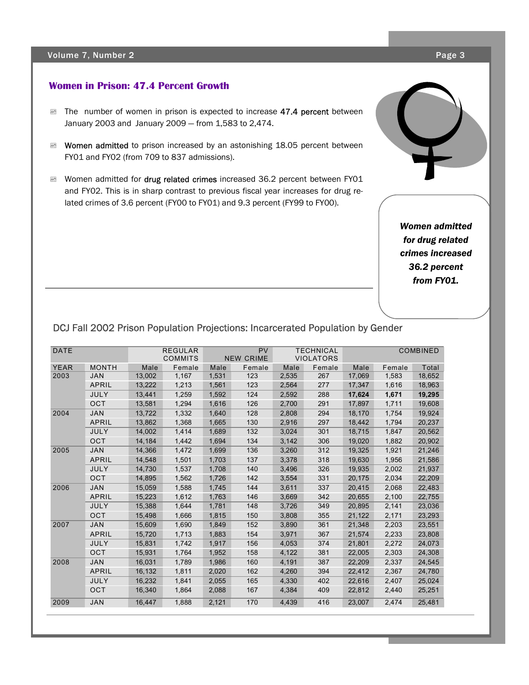#### Volume 7, Number 2 **Page 3**

#### **Women in Prison: 47.4 Percent Growth**

- **EXEMP The number of women in prison is expected to increase 47.4 percent between** January 2003 and January 2009 — from 1,583 to 2,474.
- Momen admitted to prison increased by an astonishing 18.05 percent between FY01 and FY02 (from 709 to 837 admissions).
- Momen admitted for drug related crimes increased 36.2 percent between FY01 and FY02. This is in sharp contrast to previous fiscal year increases for drug related crimes of 3.6 percent (FY00 to FY01) and 9.3 percent (FY99 to FY00).

*Women admitted for drug related crimes increased 36.2 percent from FY01.* 

### DCJ Fall 2002 Prison Population Projections: Incarcerated Population by Gender

| <b>DATE</b> |              |        | <b>REGULAR</b><br><b>COMMITS</b> |       | <b>PV</b><br><b>NEW CRIME</b> |       | <b>TECHNICAL</b><br><b>VIOLATORS</b> |        |        | <b>COMBINED</b> |
|-------------|--------------|--------|----------------------------------|-------|-------------------------------|-------|--------------------------------------|--------|--------|-----------------|
| <b>YEAR</b> | <b>MONTH</b> | Male   | Female                           | Male  | Female                        | Male  | Female                               | Male   | Female | Total           |
| 2003        | <b>JAN</b>   | 13.002 | 1,167                            | 1,531 | 123                           | 2,535 | 267                                  | 17,069 | 1,583  | 18,652          |
|             | <b>APRIL</b> | 13,222 | 1,213                            | 1,561 | 123                           | 2,564 | 277                                  | 17,347 | 1,616  | 18,963          |
|             | JULY         | 13,441 | 1,259                            | 1,592 | 124                           | 2,592 | 288                                  | 17,624 | 1,671  | 19,295          |
|             | <b>OCT</b>   | 13,581 | 1,294                            | 1,616 | 126                           | 2,700 | 291                                  | 17,897 | 1,711  | 19,608          |
| 2004        | <b>JAN</b>   | 13.722 | 1,332                            | 1.640 | 128                           | 2.808 | 294                                  | 18,170 | 1,754  | 19,924          |
|             | <b>APRIL</b> | 13.862 | 1.368                            | 1.665 | 130                           | 2.916 | 297                                  | 18.442 | 1,794  | 20,237          |
|             | JULY         | 14.002 | 1,414                            | 1.689 | 132                           | 3,024 | 301                                  | 18,715 | 1,847  | 20,562          |
|             | <b>OCT</b>   | 14.184 | 1,442                            | 1.694 | 134                           | 3,142 | 306                                  | 19,020 | 1,882  | 20,902          |
| 2005        | <b>JAN</b>   | 14,366 | 1,472                            | 1,699 | 136                           | 3,260 | 312                                  | 19,325 | 1,921  | 21,246          |
|             | <b>APRIL</b> | 14,548 | 1,501                            | 1,703 | 137                           | 3,378 | 318                                  | 19,630 | 1,956  | 21,586          |
|             | JULY         | 14,730 | 1,537                            | 1,708 | 140                           | 3,496 | 326                                  | 19,935 | 2,002  | 21,937          |
|             | OCT          | 14,895 | 1.562                            | 1,726 | 142                           | 3,554 | 331                                  | 20,175 | 2,034  | 22,209          |
| 2006        | <b>JAN</b>   | 15,059 | 1.588                            | 1.745 | 144                           | 3,611 | 337                                  | 20.415 | 2,068  | 22,483          |
|             | APRIL        | 15,223 | 1,612                            | 1,763 | 146                           | 3,669 | 342                                  | 20.655 | 2,100  | 22,755          |
|             | JULY         | 15,388 | 1,644                            | 1,781 | 148                           | 3,726 | 349                                  | 20,895 | 2,141  | 23,036          |
|             | <b>OCT</b>   | 15,498 | 1.666                            | 1.815 | 150                           | 3,808 | 355                                  | 21,122 | 2,171  | 23,293          |
| 2007        | <b>JAN</b>   | 15,609 | 1,690                            | 1,849 | 152                           | 3,890 | 361                                  | 21,348 | 2,203  | 23,551          |
|             | APRIL        | 15,720 | 1,713                            | 1,883 | 154                           | 3,971 | 367                                  | 21,574 | 2,233  | 23,808          |
|             | <b>JULY</b>  | 15.831 | 1.742                            | 1.917 | 156                           | 4.053 | 374                                  | 21,801 | 2,272  | 24,073          |
|             | <b>OCT</b>   | 15.931 | 1.764                            | 1.952 | 158                           | 4,122 | 381                                  | 22,005 | 2,303  | 24,308          |
| 2008        | <b>JAN</b>   | 16.031 | 1.789                            | 1.986 | 160                           | 4.191 | 387                                  | 22,209 | 2,337  | 24,545          |
|             | APRIL        | 16,132 | 1,811                            | 2,020 | 162                           | 4,260 | 394                                  | 22,412 | 2,367  | 24,780          |
|             | JULY         | 16,232 | 1,841                            | 2,055 | 165                           | 4,330 | 402                                  | 22,616 | 2,407  | 25,024          |
|             | <b>OCT</b>   | 16,340 | 1,864                            | 2,088 | 167                           | 4,384 | 409                                  | 22,812 | 2,440  | 25,251          |
| 2009        | <b>JAN</b>   | 16.447 | 1.888                            | 2,121 | 170                           | 4.439 | 416                                  | 23,007 | 2.474  | 25,481          |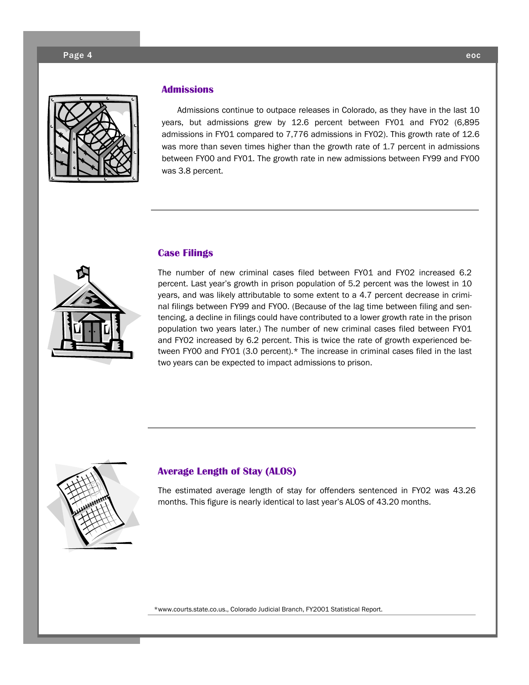

#### **Admissions**

Admissions continue to outpace releases in Colorado, as they have in the last 10 years, but admissions grew by 12.6 percent between FY01 and FY02 (6,895 admissions in FY01 compared to 7,776 admissions in FY02). This growth rate of 12.6 was more than seven times higher than the growth rate of 1.7 percent in admissions between FY00 and FY01. The growth rate in new admissions between FY99 and FY00 was 3.8 percent.



#### **Case Filings**

The number of new criminal cases filed between FY01 and FY02 increased 6.2 percent. Last year's growth in prison population of 5.2 percent was the lowest in 10 years, and was likely attributable to some extent to a 4.7 percent decrease in criminal filings between FY99 and FY00. (Because of the lag time between filing and sentencing, a decline in filings could have contributed to a lower growth rate in the prison population two years later.) The number of new criminal cases filed between FY01 and FY02 increased by 6.2 percent. This is twice the rate of growth experienced between FY00 and FY01 (3.0 percent).\* The increase in criminal cases filed in the last two years can be expected to impact admissions to prison.



#### **Average Length of Stay (ALOS)**

The estimated average length of stay for offenders sentenced in FY02 was 43.26 months. This figure is nearly identical to last year's ALOS of 43.20 months.

\*www.courts.state.co.us., Colorado Judicial Branch, FY2001 Statistical Report.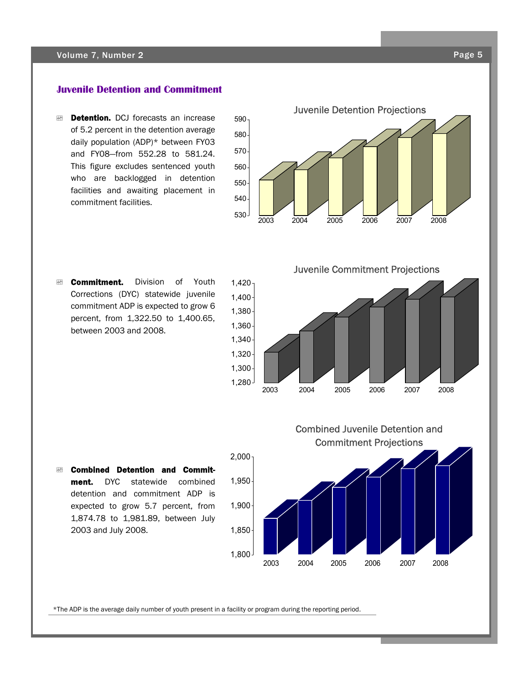#### Volume 7, Number 2

#### **Juvenile Detention and Commitment**

**EXEMPT Detention.** DCJ forecasts an increase of 5.2 percent in the detention average daily population (ADP)\* between FY03 and FY08—from 552.28 to 581.24. This figure excludes sentenced youth who are backlogged in detention facilities and awaiting placement in commitment facilities.

![](_page_4_Figure_3.jpeg)

**Ex Commitment.** Division of Youth Corrections (DYC) statewide juvenile commitment ADP is expected to grow 6 percent, from 1,322.50 to 1,400.65, between 2003 and 2008.

Juvenile Commitment Projections

![](_page_4_Figure_6.jpeg)

Combined Juvenile Detention and

 $⊠$  **Combined Detention and Commit**ment. DYC statewide combined detention and commitment ADP is expected to grow 5.7 percent, from 1,874.78 to 1,981.89, between July 2003 and July 2008.

![](_page_4_Figure_8.jpeg)

\*The ADP is the average daily number of youth present in a facility or program during the reporting period.

Page<sub>5</sub>